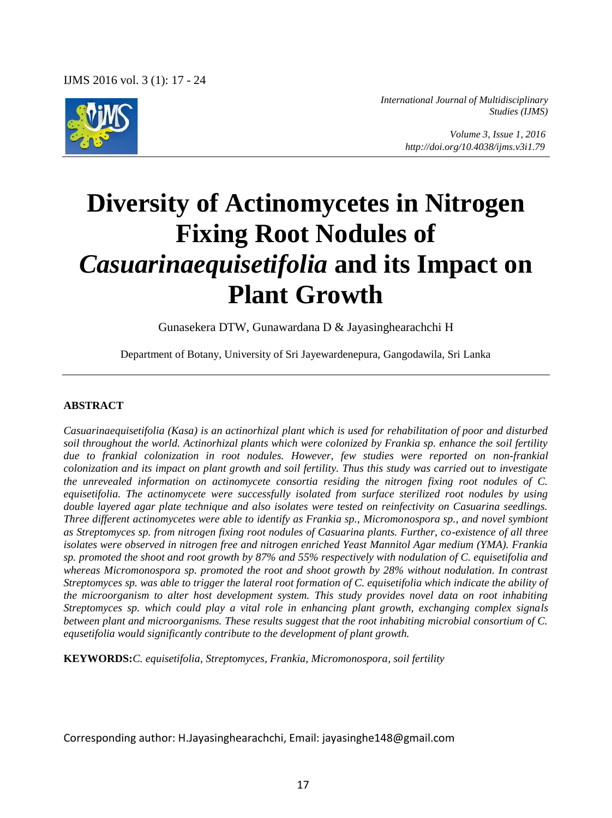

*International Journal of Multidisciplinary Studies (IJMS)* 

> *Volume 3, Issue 1, 2016 http://doi.org/10.4038/ijms.v3i1.79*

# **Diversity of Actinomycetes in Nitrogen Fixing Root Nodules of**  *Casuarinaequisetifolia* **and its Impact on Plant Growth**

Gunasekera DTW, Gunawardana D & Jayasinghearachchi H

Department of Botany, University of Sri Jayewardenepura, Gangodawila, Sri Lanka

#### **ABSTRACT**

*Casuarinaequisetifolia (Kasa) is an actinorhizal plant which is used for rehabilitation of poor and disturbed soil throughout the world. Actinorhizal plants which were colonized by Frankia sp. enhance the soil fertility due to frankial colonization in root nodules. However, few studies were reported on non-frankial colonization and its impact on plant growth and soil fertility. Thus this study was carried out to investigate the unrevealed information on actinomycete consortia residing the nitrogen fixing root nodules of C. equisetifolia. The actinomycete were successfully isolated from surface sterilized root nodules by using double layered agar plate technique and also isolates were tested on reinfectivity on Casuarina seedlings. Three different actinomycetes were able to identify as Frankia sp., Micromonospora sp., and novel symbiont as Streptomyces sp. from nitrogen fixing root nodules of Casuarina plants. Further, co-existence of all three isolates were observed in nitrogen free and nitrogen enriched Yeast Mannitol Agar medium (YMA). Frankia sp. promoted the shoot and root growth by 87% and 55% respectively with nodulation of C. equisetifolia and whereas Micromonospora sp. promoted the root and shoot growth by 28% without nodulation. In contrast Streptomyces sp. was able to trigger the lateral root formation of C. equisetifolia which indicate the ability of the microorganism to alter host development system. This study provides novel data on root inhabiting Streptomyces sp. which could play a vital role in enhancing plant growth, exchanging complex signals between plant and microorganisms. These results suggest that the root inhabiting microbial consortium of C. equsetifolia would significantly contribute to the development of plant growth.* 

**KEYWORDS:***C. equisetifolia, Streptomyces, Frankia, Micromonospora, soil fertility* 

Corresponding author: H.Jayasinghearachchi, Email: jayasinghe148@gmail.com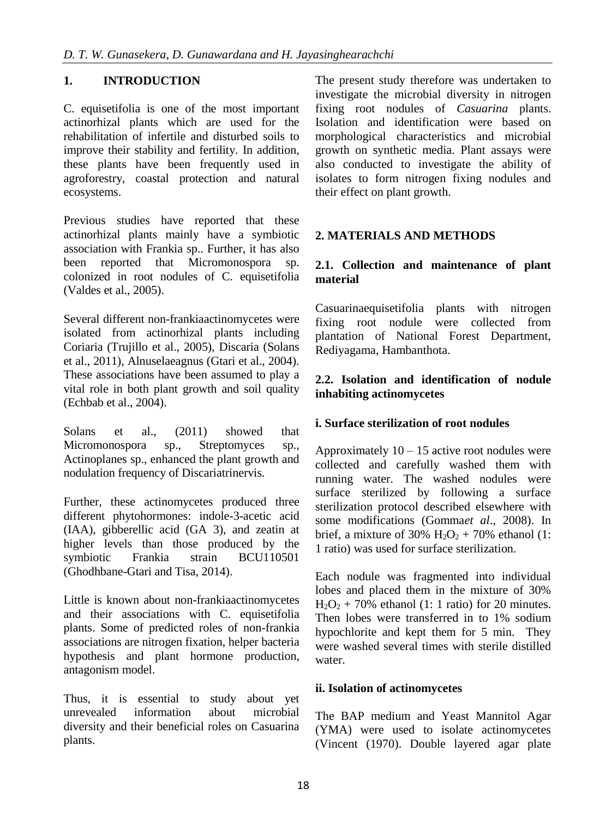## **1. INTRODUCTION**

C. equisetifolia is one of the most important actinorhizal plants which are used for the rehabilitation of infertile and disturbed soils to improve their stability and fertility. In addition, these plants have been frequently used in agroforestry, coastal protection and natural ecosystems.

Previous studies have reported that these actinorhizal plants mainly have a symbiotic association with Frankia sp.. Further, it has also been reported that Micromonospora sp. colonized in root nodules of C. equisetifolia (Valdes et al., 2005).

Several different non-frankiaactinomycetes were isolated from actinorhizal plants including Coriaria (Trujillo et al., 2005), Discaria (Solans et al., 2011), Alnuselaeagnus (Gtari et al., 2004). These associations have been assumed to play a vital role in both plant growth and soil quality (Echbab et al., 2004).

Solans et al., (2011) showed that Micromonospora sp., Streptomyces sp., Actinoplanes sp., enhanced the plant growth and nodulation frequency of Discariatrinervis.

Further, these actinomycetes produced three different phytohormones: indole-3-acetic acid (IAA), gibberellic acid (GA 3), and zeatin at higher levels than those produced by the symbiotic Frankia strain BCU110501 (Ghodhbane-Gtari and Tisa, 2014).

Little is known about non-frankiaactinomycetes and their associations with C. equisetifolia plants. Some of predicted roles of non-frankia associations are nitrogen fixation, helper bacteria hypothesis and plant hormone production, antagonism model.

Thus, it is essential to study about yet unrevealed information about microbial diversity and their beneficial roles on Casuarina plants.

The present study therefore was undertaken to investigate the microbial diversity in nitrogen fixing root nodules of *Casuarina* plants. Isolation and identification were based on morphological characteristics and microbial growth on synthetic media. Plant assays were also conducted to investigate the ability of isolates to form nitrogen fixing nodules and their effect on plant growth.

## **2. MATERIALS AND METHODS**

### **2.1. Collection and maintenance of plant material**

Casuarinaequisetifolia plants with nitrogen fixing root nodule were collected from plantation of National Forest Department, Rediyagama, Hambanthota.

### **2.2. Isolation and identification of nodule inhabiting actinomycetes**

#### **i. Surface sterilization of root nodules**

Approximately  $10 - 15$  active root nodules were collected and carefully washed them with running water. The washed nodules were surface sterilized by following a surface sterilization protocol described elsewhere with some modifications (Gomma*et al*., 2008). In brief, a mixture of 30%  $H_2O_2 + 70$ % ethanol (1: 1 ratio) was used for surface sterilization.

Each nodule was fragmented into individual lobes and placed them in the mixture of 30%  $H_2O_2$  + 70% ethanol (1: 1 ratio) for 20 minutes. Then lobes were transferred in to 1% sodium hypochlorite and kept them for 5 min. They were washed several times with sterile distilled water.

#### **ii. Isolation of actinomycetes**

The BAP medium and Yeast Mannitol Agar (YMA) were used to isolate actinomycetes (Vincent (1970). Double layered agar plate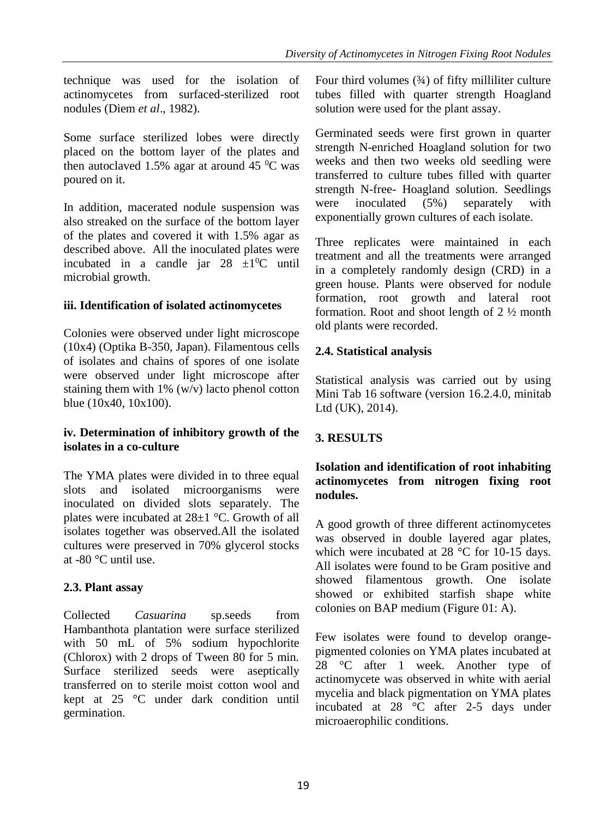technique was used for the isolation of actinomycetes from surfaced-sterilized root nodules (Diem *et al*., 1982).

Some surface sterilized lobes were directly placed on the bottom layer of the plates and then autoclaved 1.5% agar at around 45  $\rm{^0C}$  was poured on it.

In addition, macerated nodule suspension was also streaked on the surface of the bottom layer of the plates and covered it with 1.5% agar as described above. All the inoculated plates were incubated in a candle jar  $28 \pm 10^{\circ}$  until microbial growth.

## **iii. Identification of isolated actinomycetes**

Colonies were observed under light microscope (10x4) (Optika B-350, Japan). Filamentous cells of isolates and chains of spores of one isolate were observed under light microscope after staining them with  $1\%$  (w/v) lacto phenol cotton blue (10x40, 10x100).

## **iv. Determination of inhibitory growth of the isolates in a co-culture**

The YMA plates were divided in to three equal slots and isolated microorganisms were inoculated on divided slots separately. The plates were incubated at 28±1 °C. Growth of all isolates together was observed.All the isolated cultures were preserved in 70% glycerol stocks at -80 °C until use.

## **2.3. Plant assay**

Collected *Casuarina* sp.seeds from Hambanthota plantation were surface sterilized with 50 mL of 5% sodium hypochlorite (Chlorox) with 2 drops of Tween 80 for 5 min. Surface sterilized seeds were aseptically transferred on to sterile moist cotton wool and kept at 25 °C under dark condition until germination.

Four third volumes  $(3/4)$  of fifty milliliter culture tubes filled with quarter strength Hoagland solution were used for the plant assay.

Germinated seeds were first grown in quarter strength N-enriched Hoagland solution for two weeks and then two weeks old seedling were transferred to culture tubes filled with quarter strength N-free- Hoagland solution. Seedlings were inoculated (5%) separately with exponentially grown cultures of each isolate.

Three replicates were maintained in each treatment and all the treatments were arranged in a completely randomly design (CRD) in a green house. Plants were observed for nodule formation, root growth and lateral root formation. Root and shoot length of 2 ½ month old plants were recorded.

# **2.4. Statistical analysis**

Statistical analysis was carried out by using Mini Tab 16 software (version 16.2.4.0, minitab Ltd (UK), 2014).

# **3. RESULTS**

## **Isolation and identification of root inhabiting actinomycetes from nitrogen fixing root nodules.**

A good growth of three different actinomycetes was observed in double layered agar plates, which were incubated at 28  $^{\circ}$ C for 10-15 days. All isolates were found to be Gram positive and showed filamentous growth. One isolate showed or exhibited starfish shape white colonies on BAP medium (Figure 01: A).

Few isolates were found to develop orangepigmented colonies on YMA plates incubated at 28 °C after 1 week. Another type of actinomycete was observed in white with aerial mycelia and black pigmentation on YMA plates incubated at 28 °C after 2-5 days under microaerophilic conditions.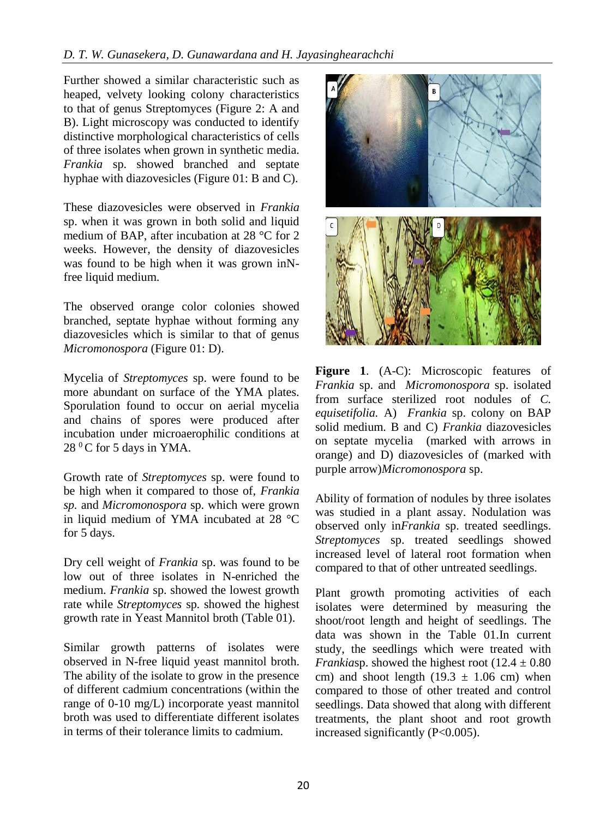Further showed a similar characteristic such as heaped, velvety looking colony characteristics to that of genus Streptomyces (Figure 2: A and B). Light microscopy was conducted to identify distinctive morphological characteristics of cells of three isolates when grown in synthetic media. *Frankia* sp. showed branched and septate hyphae with diazovesicles (Figure 01: B and C).

These diazovesicles were observed in *Frankia* sp. when it was grown in both solid and liquid medium of BAP, after incubation at 28 °C for 2 weeks. However, the density of diazovesicles was found to be high when it was grown inNfree liquid medium.

The observed orange color colonies showed branched, septate hyphae without forming any diazovesicles which is similar to that of genus *Micromonospora* (Figure 01: D).

Mycelia of *Streptomyces* sp. were found to be more abundant on surface of the YMA plates. Sporulation found to occur on aerial mycelia and chains of spores were produced after incubation under microaerophilic conditions at  $28<sup>0</sup>C$  for 5 days in YMA.

Growth rate of *Streptomyces* sp. were found to be high when it compared to those of, *Frankia sp.* and *Micromonospora* sp. which were grown in liquid medium of YMA incubated at 28 °C for 5 days.

Dry cell weight of *Frankia* sp. was found to be low out of three isolates in N-enriched the medium. *Frankia* sp. showed the lowest growth rate while *Streptomyces* sp. showed the highest growth rate in Yeast Mannitol broth (Table 01).

Similar growth patterns of isolates were observed in N-free liquid yeast mannitol broth. The ability of the isolate to grow in the presence of different cadmium concentrations (within the range of 0-10 mg/L) incorporate yeast mannitol broth was used to differentiate different isolates in terms of their tolerance limits to cadmium.



**Figure 1**. (A-C): Microscopic features of *Frankia* sp. and *Micromonospora* sp. isolated from surface sterilized root nodules of *C. equisetifolia.* A) *Frankia* sp. colony on BAP solid medium. B and C) *Frankia* diazovesicles on septate mycelia (marked with arrows in orange) and D) diazovesicles of (marked with purple arrow)*Micromonospora* sp.

Ability of formation of nodules by three isolates was studied in a plant assay. Nodulation was observed only in*Frankia* sp. treated seedlings. *Streptomyces* sp. treated seedlings showed increased level of lateral root formation when compared to that of other untreated seedlings.

Plant growth promoting activities of each isolates were determined by measuring the shoot/root length and height of seedlings. The data was shown in the Table 01.In current study, the seedlings which were treated with *Frankiasp.* showed the highest root  $(12.4 \pm 0.80)$ cm) and shoot length  $(19.3 \pm 1.06 \text{ cm})$  when compared to those of other treated and control seedlings. Data showed that along with different treatments, the plant shoot and root growth increased significantly (P<0.005).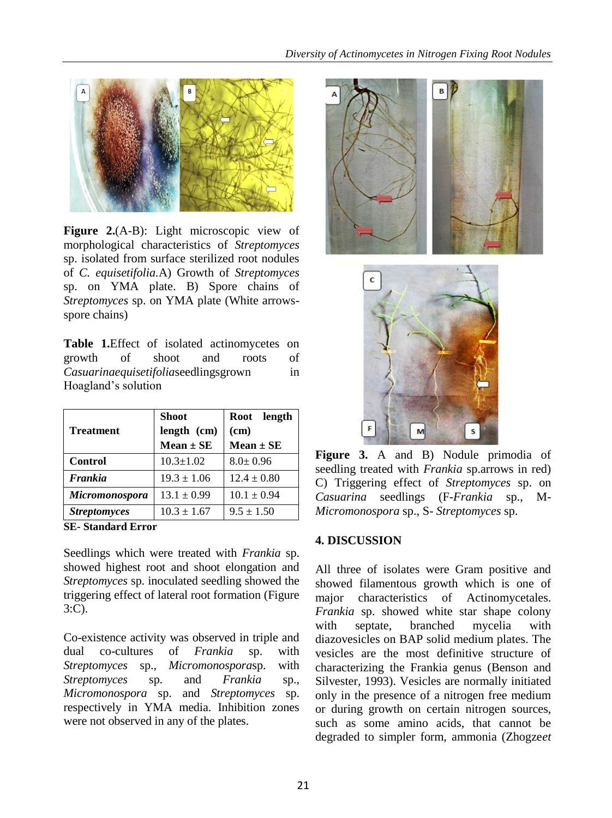

**Figure 2.**(A-B): Light microscopic view of morphological characteristics of *Streptomyces* sp. isolated from surface sterilized root nodules of *C. equisetifolia.*A) Growth of *Streptomyces* sp. on YMA plate. B) Spore chains of *Streptomyces* sp. on YMA plate (White arrowsspore chains)

**Table 1.**Effect of isolated actinomycetes on growth of shoot and roots of *Casuarinaequisetifolia*seedlingsgrown in Hoagland's solution

|                       | <b>Shoot</b>    | Root length     |
|-----------------------|-----------------|-----------------|
| <b>Treatment</b>      | length (cm)     | (cm)            |
|                       | $Mean \pm SE$   | $Mean \pm SE$   |
| Control               | $10.3 \pm 1.02$ | $8.0 \pm 0.96$  |
| <b>Frankia</b>        | $19.3 \pm 1.06$ | $12.4 \pm 0.80$ |
| <b>Micromonospora</b> | $13.1 \pm 0.99$ | $10.1 \pm 0.94$ |
| <b>Streptomyces</b>   | $10.3 \pm 1.67$ | $9.5 \pm 1.50$  |

**SE- Standard Error**

Seedlings which were treated with *Frankia* sp. showed highest root and shoot elongation and *Streptomyces* sp. inoculated seedling showed the triggering effect of lateral root formation (Figure 3:C).

Co-existence activity was observed in triple and dual co-cultures of *Frankia* sp. with *Streptomyces* sp., *Micromonospora*sp. with *Streptomyces* sp. and *Frankia* sp., *Micromonospora* sp. and *Streptomyces* sp. respectively in YMA media. Inhibition zones were not observed in any of the plates.



**Figure 3.** A and B) Nodule primodia of seedling treated with *Frankia* sp.arrows in red) C) Triggering effect of *Streptomyces* sp. on *Casuarina* seedlings (F-*Frankia* sp., M-*Micromonospora* sp., S- *Streptomyces* sp.

#### **4. DISCUSSION**

All three of isolates were Gram positive and showed filamentous growth which is one of major characteristics of Actinomycetales. *Frankia* sp. showed white star shape colony with septate, branched mycelia with diazovesicles on BAP solid medium plates. The vesicles are the most definitive structure of characterizing the Frankia genus (Benson and Silvester, 1993). Vesicles are normally initiated only in the presence of a nitrogen free medium or during growth on certain nitrogen sources, such as some amino acids, that cannot be degraded to simpler form, ammonia (Zhogze*et*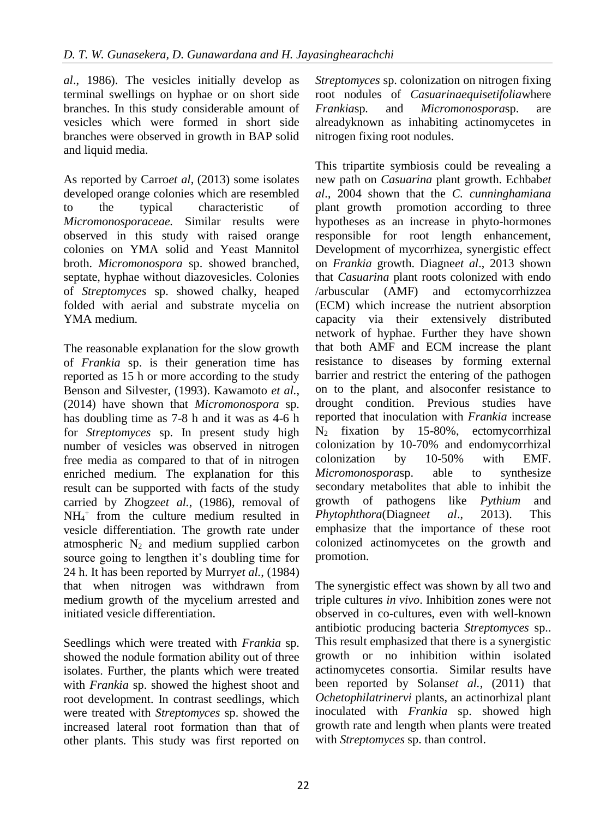*al*., 1986). The vesicles initially develop as terminal swellings on hyphae or on short side branches. In this study considerable amount of vesicles which were formed in short side branches were observed in growth in BAP solid and liquid media.

As reported by Carro*et al*, (2013) some isolates developed orange colonies which are resembled to the typical characteristic of *Micromonosporaceae.* Similar results were observed in this study with raised orange colonies on YMA solid and Yeast Mannitol broth. *Micromonospora* sp. showed branched, septate, hyphae without diazovesicles. Colonies of *Streptomyces* sp. showed chalky, heaped folded with aerial and substrate mycelia on YMA medium.

The reasonable explanation for the slow growth of *Frankia* sp. is their generation time has reported as 15 h or more according to the study Benson and Silvester, (1993). Kawamoto *et al.*, (2014) have shown that *Micromonospora* sp. has doubling time as 7-8 h and it was as 4-6 h for *Streptomyces* sp. In present study high number of vesicles was observed in nitrogen free media as compared to that of in nitrogen enriched medium. The explanation for this result can be supported with facts of the study carried by Zhogze*et al.*, (1986), removal of  $NH_4$ <sup>+</sup> from the culture medium resulted in vesicle differentiation. The growth rate under atmospheric  $N_2$  and medium supplied carbon source going to lengthen it's doubling time for 24 h. It has been reported by Murry*et al.*, (1984) that when nitrogen was withdrawn from medium growth of the mycelium arrested and initiated vesicle differentiation.

Seedlings which were treated with *Frankia* sp. showed the nodule formation ability out of three isolates. Further, the plants which were treated with *Frankia* sp. showed the highest shoot and root development. In contrast seedlings, which were treated with *Streptomyces* sp. showed the increased lateral root formation than that of other plants. This study was first reported on *Streptomyces* sp. colonization on nitrogen fixing root nodules of *Casuarinaequisetifolia*where *Frankia*sp*.* and *Micromonospora*sp. are alreadyknown as inhabiting actinomycetes in nitrogen fixing root nodules.

This tripartite symbiosis could be revealing a new path on *Casuarina* plant growth. Echbab*et al*., 2004 shown that the *C. cunninghamiana* plant growth promotion according to three hypotheses as an increase in phyto-hormones responsible for root length enhancement, Development of mycorrhizea, synergistic effect on *Frankia* growth. Diagne*et al*., 2013 shown that *Casuarina* plant roots colonized with endo /arbuscular (AMF) and ectomycorrhizzea (ECM) which increase the nutrient absorption capacity via their extensively distributed network of hyphae. Further they have shown that both AMF and ECM increase the plant resistance to diseases by forming external barrier and restrict the entering of the pathogen on to the plant, and alsoconfer resistance to drought condition. Previous studies have reported that inoculation with *Frankia* increase  $N_2$  fixation by 15-80%, ectomycorrhizal colonization by 10-70% and endomycorrhizal colonization by 10-50% with EMF. *Micromonospora*sp. able to synthesize secondary metabolites that able to inhibit the growth of pathogens like *Pythium* and *Phytophthora*(Diagne*et al*., 2013). This emphasize that the importance of these root colonized actinomycetes on the growth and promotion.

The synergistic effect was shown by all two and triple cultures *in vivo*. Inhibition zones were not observed in co-cultures, even with well-known antibiotic producing bacteria *Streptomyces* sp.. This result emphasized that there is a synergistic growth or no inhibition within isolated actinomycetes consortia. Similar results have been reported by Solans*et al.*, (2011) that *Ochetophilatrinervi* plants, an actinorhizal plant inoculated with *Frankia* sp. showed high growth rate and length when plants were treated with *Streptomyces* sp. than control.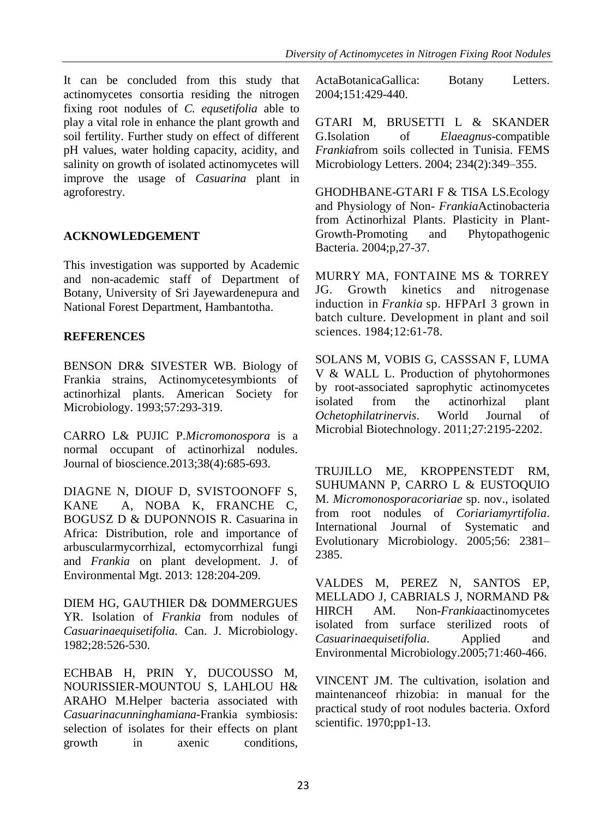It can be concluded from this study that actinomycetes consortia residing the nitrogen fixing root nodules of *C. equsetifolia* able to play a vital role in enhance the plant growth and soil fertility. Further study on effect of different pH values, water holding capacity, acidity, and salinity on growth of isolated actinomycetes will improve the usage of *Casuarina* plant in agroforestry.

# **ACKNOWLEDGEMENT**

This investigation was supported by Academic and non-academic staff of Department of Botany, University of Sri Jayewardenepura and National Forest Department, Hambantotha.

## **REFERENCES**

BENSON DR& SIVESTER WB. Biology of Frankia strains, Actinomycetesymbionts of actinorhizal plants. American Society for Microbiology. 1993;57:293-319.

CARRO L& PUJIC P.*Micromonospora* is a normal occupant of actinorhizal nodules. Journal of bioscience*.*2013;38(4):685-693.

DIAGNE N, DIOUF D, SVISTOONOFF S, KANE A, NOBA K, FRANCHE C, BOGUSZ D & DUPONNOIS R. Casuarina in Africa: Distribution, role and importance of arbuscularmycorrhizal, ectomycorrhizal fungi and *Frankia* on plant development. J. of Environmental Mgt. 2013: 128:204-209.

DIEM HG, GAUTHIER D& DOMMERGUES YR. Isolation of *Frankia* from nodules of *Casuarinaequisetifolia.* Can. J. Microbiology. 1982;28:526-530.

ECHBAB H, PRIN Y, DUCOUSSO M, NOURISSIER-MOUNTOU S, LAHLOU H& ARAHO M.Helper bacteria associated with *Casuarinacunninghamiana*-Frankia symbiosis: selection of isolates for their effects on plant growth in axenic conditions,

ActaBotanicaGallica: Botany Letters. 2004;151:429-440.

GTARI M, BRUSETTI L & SKANDER G.Isolation of *Elaeagnus*-compatible *Frankia*from soils collected in Tunisia. FEMS Microbiology Letters. 2004; 234(2):349–355.

GHODHBANE-GTARI F & TISA LS.Ecology and Physiology of Non- *Frankia*Actinobacteria from Actinorhizal Plants. Plasticity in Plant-Growth-Promoting and Phytopathogenic Bacteria. 2004;p,27-37.

MURRY MA, FONTAINE MS & TORREY JG. Growth kinetics and nitrogenase induction in *Frankia* sp. HFPArI 3 grown in batch culture. Development in plant and soil sciences. 1984;12:61-78.

SOLANS M, VOBIS G, CASSSAN F, LUMA V & WALL L. Production of phytohormones by root-associated saprophytic actinomycetes isolated from the actinorhizal plant *Ochetophilatrinervis*. World Journal of Microbial Biotechnology. 2011;27:2195-2202.

TRUJILLO ME, KROPPENSTEDT RM, SUHUMANN P, CARRO L & EUSTOQUIO M. *Micromonosporacoriariae* sp. nov., isolated from root nodules of *Coriariamyrtifolia*. International Journal of Systematic and Evolutionary Microbiology. 2005;56: 2381– 2385.

VALDES M, PEREZ N, SANTOS EP, MELLADO J, CABRIALS J, NORMAND P& HIRCH AM. Non-*Frankia*actinomycetes isolated from surface sterilized roots of *Casuarinaequisetifolia*. Applied and Environmental Microbiology.2005;71:460-466.

VINCENT JM. The cultivation, isolation and maintenanceof rhizobia: in manual for the practical study of root nodules bacteria. Oxford scientific. 1970;pp1-13.